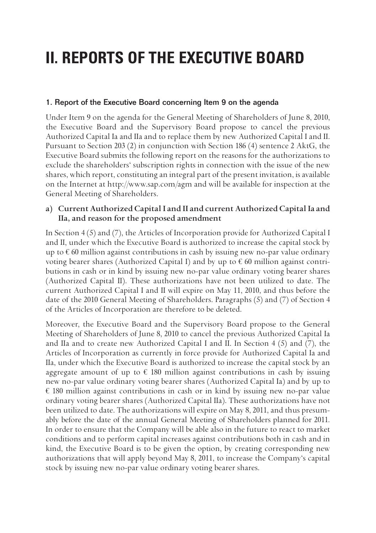# **II. REPORTS OF THE EXECUTIVE BOARD**

# 1. Report of the Executive Board concerning Item 9 on the agenda

Under Item 9 on the agenda for the General Meeting of Shareholders of June 8, 2010, the Executive Board and the Supervisory Board propose to cancel the previous Authorized Capital Ia and IIa and to replace them by new Authorized Capital I and II. Pursuant to Section 203 (2) in conjunction with Section 186 (4) sentence 2 AktG, the Executive Board submits the following report on the reasons for the authorizations to exclude the shareholders' subscription rights in connection with the issue of the new shares, which report, constituting an integral part of the present invitation, is available on the Internet at http://www.sap.com/agm and will be available for inspection at the General Meeting of Shareholders.

# **a) Current Authorized Capital I and II and current Authorized Capital Ia and IIa, and reason for the proposed amendment**

In Section 4 (5) and (7), the Articles of Incorporation provide for Authorized Capital I and II, under which the Executive Board is authorized to increase the capital stock by up to  $\epsilon$  60 million against contributions in cash by issuing new no-par value ordinary voting bearer shares (Authorized Capital I) and by up to  $\epsilon$  60 million against contributions in cash or in kind by issuing new no-par value ordinary voting bearer shares (Authorized Capital II). These authorizations have not been utilized to date. The current Authorized Capital I and II will expire on May 11, 2010, and thus before the date of the 2010 General Meeting of Shareholders. Paragraphs (5) and (7) of Section 4 of the Articles of Incorporation are therefore to be deleted.

Moreover, the Executive Board and the Supervisory Board propose to the General Meeting of Shareholders of June 8, 2010 to cancel the previous Authorized Capital Ia and IIa and to create new Authorized Capital I and II. In Section 4 (5) and (7), the Articles of Incorporation as currently in force provide for Authorized Capital Ia and IIa, under which the Executive Board is authorized to increase the capital stock by an aggregate amount of up to  $\epsilon$  180 million against contributions in cash by issuing new no-par value ordinary voting bearer shares (Authorized Capital Ia) and by up to  $\epsilon$  180 million against contributions in cash or in kind by issuing new no-par value ordinary voting bearer shares (Authorized Capital IIa). These authorizations have not been utilized to date. The authorizations will expire on May 8, 2011, and thus presumably before the date of the annual General Meeting of Shareholders planned for 2011. In order to ensure that the Company will be able also in the future to react to market conditions and to perform capital increases against contributions both in cash and in kind, the Executive Board is to be given the option, by creating corresponding new authorizations that will apply beyond May 8, 2011, to increase the Company's capital stock by issuing new no-par value ordinary voting bearer shares.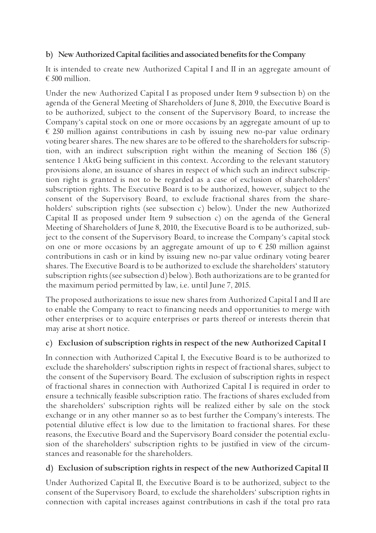# **b) New Authorized Capital facilities and associated benefits for the Company**

It is intended to create new Authorized Capital I and II in an aggregate amount of € 500 million.

Under the new Authorized Capital I as proposed under Item 9 subsection b) on the agenda of the General Meeting of Shareholders of June 8, 2010, the Executive Board is to be authorized, subject to the consent of the Supervisory Board, to increase the Company's capital stock on one or more occasions by an aggregate amount of up to  $\epsilon$  250 million against contributions in cash by issuing new no-par value ordinary voting bearer shares. The new shares are to be offered to the shareholders for subscription, with an indirect subscription right within the meaning of Section 186 (5) sentence 1 AktG being sufficient in this context. According to the relevant statutory provisions alone, an issuance of shares in respect of which such an indirect subscription right is granted is not to be regarded as a case of exclusion of shareholders' subscription rights. The Executive Board is to be authorized, however, subject to the consent of the Supervisory Board, to exclude fractional shares from the shareholders' subscription rights (see subsection c) below). Under the new Authorized Capital II as proposed under Item 9 subsection c) on the agenda of the General Meeting of Shareholders of June 8, 2010, the Executive Board is to be authorized, subject to the consent of the Supervisory Board, to increase the Company's capital stock on one or more occasions by an aggregate amount of up to  $\epsilon$  250 million against contributions in cash or in kind by issuing new no-par value ordinary voting bearer shares. The Executive Board is to be authorized to exclude the shareholders' statutory subscription rights (see subsection d) below). Both authorizations are to be granted for the maximum period permitted by law, i.e. until June 7, 2015.

The proposed authorizations to issue new shares from Authorized Capital I and II are to enable the Company to react to financing needs and opportunities to merge with other enterprises or to acquire enterprises or parts thereof or interests therein that may arise at short notice.

# **c) Exclusion of subscription rights in respect of the new Authorized Capital I**

In connection with Authorized Capital I, the Executive Board is to be authorized to exclude the shareholders' subscription rights in respect of fractional shares, subject to the consent of the Supervisory Board. The exclusion of subscription rights in respect of fractional shares in connection with Authorized Capital I is required in order to ensure a technically feasible subscription ratio. The fractions of shares excluded from the shareholders' subscription rights will be realized either by sale on the stock exchange or in any other manner so as to best further the Company's interests. The potential dilutive effect is low due to the limitation to fractional shares. For these reasons, the Executive Board and the Supervisory Board consider the potential exclusion of the shareholders' subscription rights to be justified in view of the circumstances and reasonable for the shareholders.

# **d) Exclusion of subscription rights in respect of the new Authorized Capital II**

Under Authorized Capital II, the Executive Board is to be authorized, subject to the consent of the Supervisory Board, to exclude the shareholders' subscription rights in connection with capital increases against contributions in cash if the total pro rata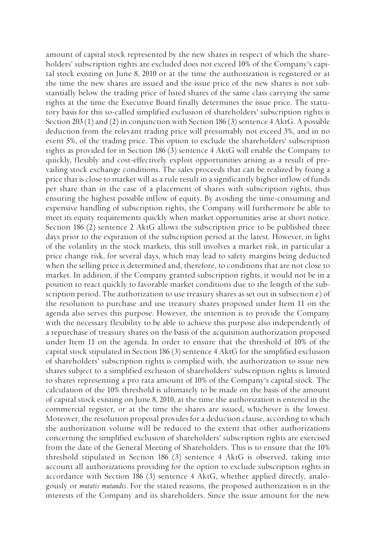amount of capital stock represented by the new shares in respect of which the shareholders' subscription rights are excluded does not exceed 10% of the Company's capital stock existing on June 8, 2010 or at the time the authorization is registered or at the time the new shares are issued and the issue price of the new shares is not substantially below the trading price of listed shares of the same class carrying the same rights at the time the Executive Board finally determines the issue price. The statutory basis for this so-called simplified exclusion of shareholders' subscription rights is Section 203 (1) and (2) in conjunction with Section 186 (3) sentence 4 AktG. A possible deduction from the relevant trading price will presumably not exceed 3%, and in no event 5%, of the trading price. This option to exclude the shareholders' subscription rights as provided for in Section 186 (3) sentence 4 AktG will enable the Company to quickly, flexibly and cost-effectively exploit opportunities arising as a result of prevailing stock exchange conditions. The sales proceeds that can be realized by fixing a price that is close to market will as a rule result in a significantly higher inflow of funds per share than in the case of a placement of shares with subscription rights, thus ensuring the highest possible inflow of equity. By avoiding the time-consuming and expensive handling of subscription rights, the Company will furthermore be able to meet its equity requirements quickly when market opportunities arise at short notice. Section 186 (2) sentence 2 AktG allows the subscription price to be published three days prior to the expiration of the subscription period at the latest. However, in light of the volatility in the stock markets, this still involves a market risk, in particular a price change risk, for several days, which may lead to safety margins being deducted when the selling price is determined and, therefore, to conditions that are not close to market. In addition, if the Company granted subscription rights, it would not be in a position to react quickly to favorable market conditions due to the length of the subscription period. The authorization to use treasury shares as set out in subsection e) of the resolution to purchase and use treasury shares proposed under Item 11 on the agenda also serves this purpose. However, the intention is to provide the Company with the necessary flexibility to be able to achieve this purpose also independently of a repurchase of treasury shares on the basis of the acquisition authorization proposed under Item 11 on the agenda. In order to ensure that the threshold of 10% of the capital stock stipulated in Section 186 (3) sentence 4 AktG for the simplified exclusion of shareholders' subscription rights is complied with, the authorization to issue new shares subject to a simplified exclusion of shareholders' subscription rights is limited to shares representing a pro rata amount of 10% of the Company's capital stock. The calculation of the 10% threshold is ultimately to be made on the basis of the amount of capital stock existing on June 8, 2010, at the time the authorization is entered in the commercial register, or at the time the shares are issued, whichever is the lowest. Moreover, the resolution proposal provides for a deduction clause, according to which the authorization volume will be reduced to the extent that other authorizations concerning the simplified exclusion of shareholders' subscription rights are exercised from the date of the General Meeting of Shareholders. This is to ensure that the 10% threshold stipulated in Section 186 (3) sentence 4 AktG is observed, taking into account all authorizations providing for the option to exclude subscription rights in accordance with Section 186 (3) sentence 4 AktG, whether applied directly, analogously or *mutatis mutandis*. For the stated reasons, the proposed authorization is in the interests of the Company and its shareholders. Since the issue amount for the new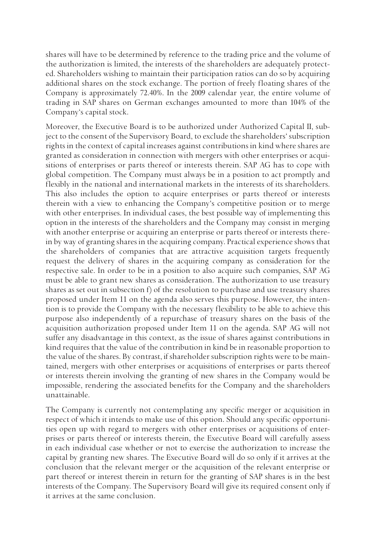shares will have to be determined by reference to the trading price and the volume of the authorization is limited, the interests of the shareholders are adequately protected. Shareholders wishing to maintain their participation ratios can do so by acquiring additional shares on the stock exchange. The portion of freely floating shares of the Company is approximately 72.40%. In the 2009 calendar year, the entire volume of trading in SAP shares on German exchanges amounted to more than 104% of the Company's capital stock.

Moreover, the Executive Board is to be authorized under Authorized Capital II, subject to the consent of the Supervisory Board, to exclude the shareholders' subscription rights in the context of capital increases against contributions in kind where shares are granted as consideration in connection with mergers with other enterprises or acquisitions of enterprises or parts thereof or interests therein. SAP AG has to cope with global competition. The Company must always be in a position to act promptly and flexibly in the national and international markets in the interests of its shareholders. This also includes the option to acquire enterprises or parts thereof or interests therein with a view to enhancing the Company's competitive position or to merge with other enterprises. In individual cases, the best possible way of implementing this option in the interests of the shareholders and the Company may consist in merging with another enterprise or acquiring an enterprise or parts thereof or interests therein by way of granting shares in the acquiring company. Practical experience shows that the shareholders of companies that are attractive acquisition targets frequently request the delivery of shares in the acquiring company as consideration for the respective sale. In order to be in a position to also acquire such companies, SAP AG must be able to grant new shares as consideration. The authorization to use treasury shares as set out in subsection f) of the resolution to purchase and use treasury shares proposed under Item 11 on the agenda also serves this purpose. However, the intention is to provide the Company with the necessary flexibility to be able to achieve this purpose also independently of a repurchase of treasury shares on the basis of the acquisition authorization proposed under Item 11 on the agenda. SAP AG will not suffer any disadvantage in this context, as the issue of shares against contributions in kind requires that the value of the contribution in kind be in reasonable proportion to the value of the shares. By contrast, if shareholder subscription rights were to be maintained, mergers with other enterprises or acquisitions of enterprises or parts thereof or interests therein involving the granting of new shares in the Company would be impossible, rendering the associated benefits for the Company and the shareholders unattainable.

The Company is currently not contemplating any specific merger or acquisition in respect of which it intends to make use of this option. Should any specific opportunities open up with regard to mergers with other enterprises or acquisitions of enterprises or parts thereof or interests therein, the Executive Board will carefully assess in each individual case whether or not to exercise the authorization to increase the capital by granting new shares. The Executive Board will do so only if it arrives at the conclusion that the relevant merger or the acquisition of the relevant enterprise or part thereof or interest therein in return for the granting of SAP shares is in the best interests of the Company. The Supervisory Board will give its required consent only if it arrives at the same conclusion.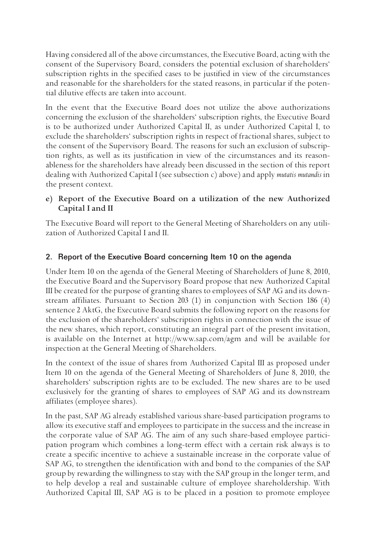Having considered all of the above circumstances, the Executive Board, acting with the consent of the Supervisory Board, considers the potential exclusion of shareholders' subscription rights in the specified cases to be justified in view of the circumstances and reasonable for the shareholders for the stated reasons, in particular if the potential dilutive effects are taken into account.

In the event that the Executive Board does not utilize the above authorizations concerning the exclusion of the shareholders' subscription rights, the Executive Board is to be authorized under Authorized Capital II, as under Authorized Capital I, to exclude the shareholders' subscription rights in respect of fractional shares, subject to the consent of the Supervisory Board. The reasons for such an exclusion of subscription rights, as well as its justification in view of the circumstances and its reasonableness for the shareholders have already been discussed in the section of this report dealing with Authorized Capital I (see subsection c) above) and apply *mutatis mutandis* in the present context.

# **e) Report of the Executive Board on a utilization of the new Authorized Capital I and II**

The Executive Board will report to the General Meeting of Shareholders on any utilization of Authorized Capital I and II.

# 2. Report of the Executive Board concerning Item 10 on the agenda

Under Item 10 on the agenda of the General Meeting of Shareholders of June 8, 2010, the Executive Board and the Supervisory Board propose that new Authorized Capital III be created for the purpose of granting shares to employees of SAP AG and its downstream affiliates. Pursuant to Section 203 (1) in conjunction with Section 186 (4) sentence 2 AktG, the Executive Board submits the following report on the reasons for the exclusion of the shareholders' subscription rights in connection with the issue of the new shares, which report, constituting an integral part of the present invitation, is available on the Internet at http://www.sap.com/agm and will be available for inspection at the General Meeting of Shareholders.

In the context of the issue of shares from Authorized Capital III as proposed under Item 10 on the agenda of the General Meeting of Shareholders of June 8, 2010, the shareholders' subscription rights are to be excluded. The new shares are to be used exclusively for the granting of shares to employees of SAP AG and its downstream affiliates (employee shares).

In the past, SAP AG already established various share-based participation programs to allow its executive staff and employees to participate in the success and the increase in the corporate value of SAP AG. The aim of any such share-based employee participation program which combines a long-term effect with a certain risk always is to create a specific incentive to achieve a sustainable increase in the corporate value of SAP AG, to strengthen the identification with and bond to the companies of the SAP group by rewarding the willingness to stay with the SAP group in the longer term, and to help develop a real and sustainable culture of employee shareholdership. With Authorized Capital III, SAP AG is to be placed in a position to promote employee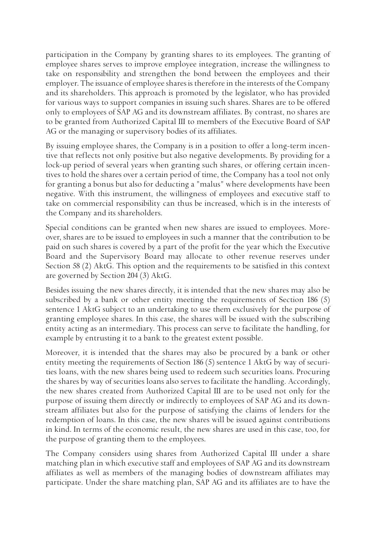participation in the Company by granting shares to its employees. The granting of employee shares serves to improve employee integration, increase the willingness to take on responsibility and strengthen the bond between the employees and their employer. The issuance of employee shares is therefore in the interests of the Company and its shareholders. This approach is promoted by the legislator, who has provided for various ways to support companies in issuing such shares. Shares are to be offered only to employees of SAP AG and its downstream affiliates. By contrast, no shares are to be granted from Authorized Capital III to members of the Executive Board of SAP AG or the managing or supervisory bodies of its affiliates.

By issuing employee shares, the Company is in a position to offer a long-term incentive that reflects not only positive but also negative developments. By providing for a lock-up period of several years when granting such shares, or offering certain incentives to hold the shares over a certain period of time, the Company has a tool not only for granting a bonus but also for deducting a "malus" where developments have been negative. With this instrument, the willingness of employees and executive staff to take on commercial responsibility can thus be increased, which is in the interests of the Company and its shareholders.

Special conditions can be granted when new shares are issued to employees. Moreover, shares are to be issued to employees in such a manner that the contribution to be paid on such shares is covered by a part of the profit for the year which the Executive Board and the Supervisory Board may allocate to other revenue reserves under Section 58 (2) AktG. This option and the requirements to be satisfied in this context are governed by Section 204 (3) AktG.

Besides issuing the new shares directly, it is intended that the new shares may also be subscribed by a bank or other entity meeting the requirements of Section 186 (5) sentence 1 AktG subject to an undertaking to use them exclusively for the purpose of granting employee shares. In this case, the shares will be issued with the subscribing entity acting as an intermediary. This process can serve to facilitate the handling, for example by entrusting it to a bank to the greatest extent possible.

Moreover, it is intended that the shares may also be procured by a bank or other entity meeting the requirements of Section 186 (5) sentence 1 AktG by way of securities loans, with the new shares being used to redeem such securities loans. Procuring the shares by way of securities loans also serves to facilitate the handling. Accordingly, the new shares created from Authorized Capital III are to be used not only for the purpose of issuing them directly or indirectly to employees of SAP AG and its downstream affiliates but also for the purpose of satisfying the claims of lenders for the redemption of loans. In this case, the new shares will be issued against contributions in kind. In terms of the economic result, the new shares are used in this case, too, for the purpose of granting them to the employees.

The Company considers using shares from Authorized Capital III under a share matching plan in which executive staff and employees of SAP AG and its downstream affiliates as well as members of the managing bodies of downstream affiliates may participate. Under the share matching plan, SAP AG and its affiliates are to have the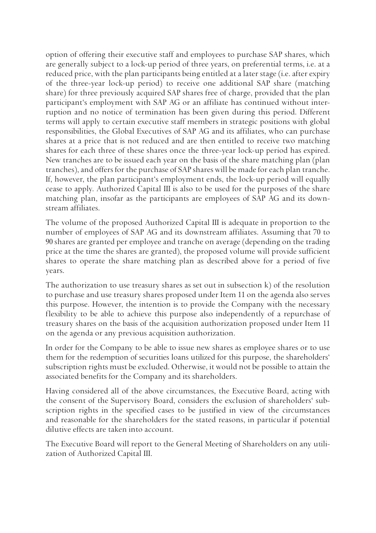option of offering their executive staff and employees to purchase SAP shares, which are generally subject to a lock-up period of three years, on preferential terms, i.e. at a reduced price, with the plan participants being entitled at a later stage (i.e. after expiry of the three-year lock-up period) to receive one additional SAP share (matching share) for three previously acquired SAP shares free of charge, provided that the plan participant's employment with SAP AG or an affiliate has continued without interruption and no notice of termination has been given during this period. Different terms will apply to certain executive staff members in strategic positions with global responsibilities, the Global Executives of SAP AG and its affiliates, who can purchase shares at a price that is not reduced and are then entitled to receive two matching shares for each three of these shares once the three-year lock-up period has expired. New tranches are to be issued each year on the basis of the share matching plan (plan tranches), and offers for the purchase of SAP shares will be made for each plan tranche. If, however, the plan participant's employment ends, the lock-up period will equally cease to apply. Authorized Capital III is also to be used for the purposes of the share matching plan, insofar as the participants are employees of SAP AG and its downstream affiliates.

The volume of the proposed Authorized Capital III is adequate in proportion to the number of employees of SAP AG and its downstream affiliates. Assuming that 70 to 90 shares are granted per employee and tranche on average (depending on the trading price at the time the shares are granted), the proposed volume will provide sufficient shares to operate the share matching plan as described above for a period of five years.

The authorization to use treasury shares as set out in subsection  $k$ ) of the resolution to purchase and use treasury shares proposed under Item 11 on the agenda also serves this purpose. However, the intention is to provide the Company with the necessary flexibility to be able to achieve this purpose also independently of a repurchase of treasury shares on the basis of the acquisition authorization proposed under Item 11 on the agenda or any previous acquisition authorization.

In order for the Company to be able to issue new shares as employee shares or to use them for the redemption of securities loans utilized for this purpose, the shareholders' subscription rights must be excluded. Otherwise, it would not be possible to attain the associated benefits for the Company and its shareholders.

Having considered all of the above circumstances, the Executive Board, acting with the consent of the Supervisory Board, considers the exclusion of shareholders' subscription rights in the specified cases to be justified in view of the circumstances and reasonable for the shareholders for the stated reasons, in particular if potential dilutive effects are taken into account.

The Executive Board will report to the General Meeting of Shareholders on any utilization of Authorized Capital III.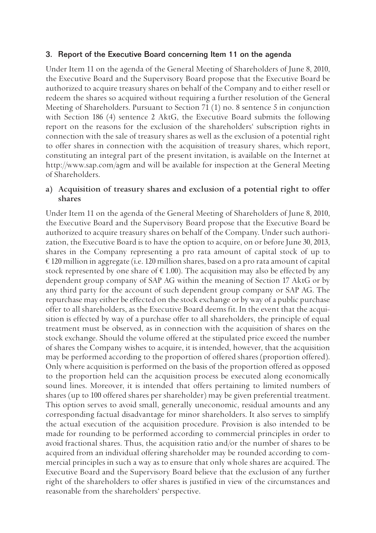#### 3. Report of the Executive Board concerning Item 11 on the agenda

Under Item 11 on the agenda of the General Meeting of Shareholders of June 8, 2010, the Executive Board and the Supervisory Board propose that the Executive Board be authorized to acquire treasury shares on behalf of the Company and to either resell or redeem the shares so acquired without requiring a further resolution of the General Meeting of Shareholders. Pursuant to Section 71 (1) no. 8 sentence 5 in conjunction with Section 186 (4) sentence 2 AktG, the Executive Board submits the following report on the reasons for the exclusion of the shareholders' subscription rights in connection with the sale of treasury shares as well as the exclusion of a potential right to offer shares in connection with the acquisition of treasury shares, which report, constituting an integral part of the present invitation, is available on the Internet at http://www.sap.com/agm and will be available for inspection at the General Meeting of Shareholders.

## **a) Acquisition of treasury shares and exclusion of a potential right to offer shares**

Under Item 11 on the agenda of the General Meeting of Shareholders of June 8, 2010, the Executive Board and the Supervisory Board propose that the Executive Board be authorized to acquire treasury shares on behalf of the Company. Under such authorization, the Executive Board is to have the option to acquire, on or before June 30, 2013, shares in the Company representing a pro rata amount of capital stock of up to € 120 million in aggregate (i.e. 120 million shares, based on a pro rata amount of capital stock represented by one share of  $\epsilon$  1.00). The acquisition may also be effected by any dependent group company of SAP AG within the meaning of Section 17 AktG or by any third party for the account of such dependent group company or SAP AG. The repurchase may either be effected on the stock exchange or by way of a public purchase offer to all shareholders, as the Executive Board deems fit. In the event that the acquisition is effected by way of a purchase offer to all shareholders, the principle of equal treatment must be observed, as in connection with the acquisition of shares on the stock exchange. Should the volume offered at the stipulated price exceed the number of shares the Company wishes to acquire, it is intended, however, that the acquisition may be performed according to the proportion of offered shares (proportion offered). Only where acquisition is performed on the basis of the proportion offered as opposed to the proportion held can the acquisition process be executed along economically sound lines. Moreover, it is intended that offers pertaining to limited numbers of shares (up to 100 offered shares per shareholder) may be given preferential treatment. This option serves to avoid small, generally uneconomic, residual amounts and any corresponding factual disadvantage for minor shareholders. It also serves to simplify the actual execution of the acquisition procedure. Provision is also intended to be made for rounding to be performed according to commercial principles in order to avoid fractional shares. Thus, the acquisition ratio and/or the number of shares to be acquired from an individual offering shareholder may be rounded according to commercial principles in such a way as to ensure that only whole shares are acquired. The Executive Board and the Supervisory Board believe that the exclusion of any further right of the shareholders to offer shares is justified in view of the circumstances and reasonable from the shareholders' perspective.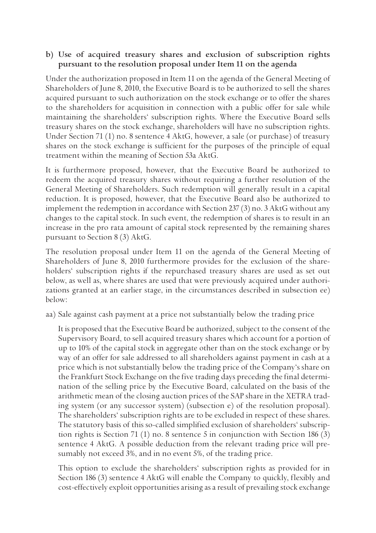## **b) Use of acquired treasury shares and exclusion of subscription rights pursuant to the resolution proposal under Item 11 on the agenda**

Under the authorization proposed in Item 11 on the agenda of the General Meeting of Shareholders of June 8, 2010, the Executive Board is to be authorized to sell the shares acquired pursuant to such authorization on the stock exchange or to offer the shares to the shareholders for acquisition in connection with a public offer for sale while maintaining the shareholders' subscription rights. Where the Executive Board sells treasury shares on the stock exchange, shareholders will have no subscription rights. Under Section 71 (1) no. 8 sentence 4 AktG, however, a sale (or purchase) of treasury shares on the stock exchange is sufficient for the purposes of the principle of equal treatment within the meaning of Section 53a AktG.

It is furthermore proposed, however, that the Executive Board be authorized to redeem the acquired treasury shares without requiring a further resolution of the General Meeting of Shareholders. Such redemption will generally result in a capital reduction. It is proposed, however, that the Executive Board also be authorized to implement the redemption in accordance with Section 237 (3) no. 3 AktG without any changes to the capital stock. In such event, the redemption of shares is to result in an increase in the pro rata amount of capital stock represented by the remaining shares pursuant to Section 8 (3) AktG.

The resolution proposal under Item 11 on the agenda of the General Meeting of Shareholders of June 8, 2010 furthermore provides for the exclusion of the shareholders' subscription rights if the repurchased treasury shares are used as set out below, as well as, where shares are used that were previously acquired under authorizations granted at an earlier stage, in the circumstances described in subsection ee) below:

aa) Sale against cash payment at a price not substantially below the trading price

 It is proposed that the Executive Board be authorized, subject to the consent of the Supervisory Board, to sell acquired treasury shares which account for a portion of up to 10% of the capital stock in aggregate other than on the stock exchange or by way of an offer for sale addressed to all shareholders against payment in cash at a price which is not substantially below the trading price of the Company's share on the Frankfurt Stock Exchange on the five trading days preceding the final determination of the selling price by the Executive Board, calculated on the basis of the arithmetic mean of the closing auction prices of the SAP share in the XETRA trading system (or any successor system) (subsection e) of the resolution proposal). The shareholders' subscription rights are to be excluded in respect of these shares. The statutory basis of this so-called simplified exclusion of shareholders' subscription rights is Section 71 (1) no. 8 sentence 5 in conjunction with Section 186 (3) sentence 4 AktG. A possible deduction from the relevant trading price will presumably not exceed 3%, and in no event 5%, of the trading price.

 This option to exclude the shareholders' subscription rights as provided for in Section 186 (3) sentence 4 AktG will enable the Company to quickly, flexibly and cost-effectively exploit opportunities arising as a result of prevailing stock exchange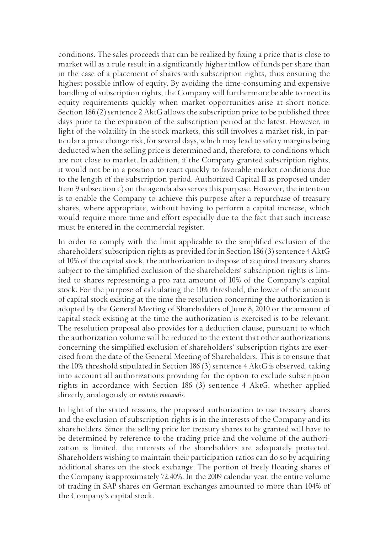conditions. The sales proceeds that can be realized by fixing a price that is close to market will as a rule result in a significantly higher inflow of funds per share than in the case of a placement of shares with subscription rights, thus ensuring the highest possible inflow of equity. By avoiding the time-consuming and expensive handling of subscription rights, the Company will furthermore be able to meet its equity requirements quickly when market opportunities arise at short notice. Section 186 (2) sentence 2 AktG allows the subscription price to be published three days prior to the expiration of the subscription period at the latest. However, in light of the volatility in the stock markets, this still involves a market risk, in particular a price change risk, for several days, which may lead to safety margins being deducted when the selling price is determined and, therefore, to conditions which are not close to market. In addition, if the Company granted subscription rights, it would not be in a position to react quickly to favorable market conditions due to the length of the subscription period. Authorized Capital II as proposed under Item 9 subsection  $c$ ) on the agenda also serves this purpose. However, the intention is to enable the Company to achieve this purpose after a repurchase of treasury shares, where appropriate, without having to perform a capital increase, which would require more time and effort especially due to the fact that such increase must be entered in the commercial register.

 In order to comply with the limit applicable to the simplified exclusion of the shareholders' subscription rights as provided for in Section 186 (3) sentence 4 AktG of 10% of the capital stock, the authorization to dispose of acquired treasury shares subject to the simplified exclusion of the shareholders' subscription rights is limited to shares representing a pro rata amount of 10% of the Company's capital stock. For the purpose of calculating the 10% threshold, the lower of the amount of capital stock existing at the time the resolution concerning the authorization is adopted by the General Meeting of Shareholders of June 8, 2010 or the amount of capital stock existing at the time the authorization is exercised is to be relevant. The resolution proposal also provides for a deduction clause, pursuant to which the authorization volume will be reduced to the extent that other authorizations concerning the simplified exclusion of shareholders' subscription rights are exercised from the date of the General Meeting of Shareholders. This is to ensure that the 10% threshold stipulated in Section 186 (3) sentence 4 AktG is observed, taking into account all authorizations providing for the option to exclude subscription rights in accordance with Section 186 (3) sentence 4 AktG, whether applied directly, analogously or *mutatis mutandis*.

 In light of the stated reasons, the proposed authorization to use treasury shares and the exclusion of subscription rights is in the interests of the Company and its shareholders. Since the selling price for treasury shares to be granted will have to be determined by reference to the trading price and the volume of the authorization is limited, the interests of the shareholders are adequately protected. Shareholders wishing to maintain their participation ratios can do so by acquiring additional shares on the stock exchange. The portion of freely floating shares of the Company is approximately 72.40%. In the 2009 calendar year, the entire volume of trading in SAP shares on German exchanges amounted to more than 104% of the Company's capital stock.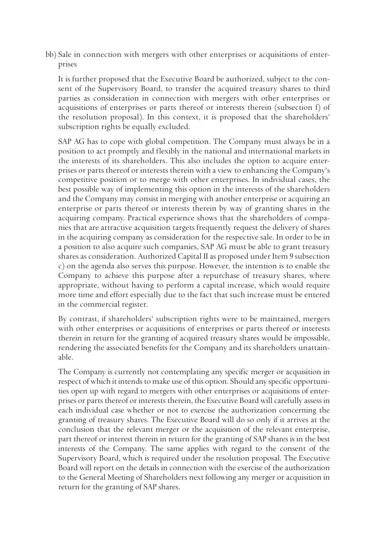bb) Sale in connection with mergers with other enterprises or acquisitions of enterprises

 It is further proposed that the Executive Board be authorized, subject to the consent of the Supervisory Board, to transfer the acquired treasury shares to third parties as consideration in connection with mergers with other enterprises or acquisitions of enterprises or parts thereof or interests therein (subsection f) of the resolution proposal). In this context, it is proposed that the shareholders' subscription rights be equally excluded.

 SAP AG has to cope with global competition. The Company must always be in a position to act promptly and flexibly in the national and international markets in the interests of its shareholders. This also includes the option to acquire enterprises or parts thereof or interests therein with a view to enhancing the Company's competitive position or to merge with other enterprises. In individual cases, the best possible way of implementing this option in the interests of the shareholders and the Company may consist in merging with another enterprise or acquiring an enterprise or parts thereof or interests therein by way of granting shares in the acquiring company. Practical experience shows that the shareholders of companies that are attractive acquisition targets frequently request the delivery of shares in the acquiring company as consideration for the respective sale. In order to be in a position to also acquire such companies, SAP AG must be able to grant treasury shares as consideration. Authorized Capital II as proposed under Item 9 subsection c) on the agenda also serves this purpose. However, the intention is to enable the Company to achieve this purpose after a repurchase of treasury shares, where appropriate, without having to perform a capital increase, which would require more time and effort especially due to the fact that such increase must be entered in the commercial register.

 By contrast, if shareholders' subscription rights were to be maintained, mergers with other enterprises or acquisitions of enterprises or parts thereof or interests therein in return for the granting of acquired treasury shares would be impossible, rendering the associated benefits for the Company and its shareholders unattainable.

 The Company is currently not contemplating any specific merger or acquisition in respect of which it intends to make use of this option. Should any specific opportunities open up with regard to mergers with other enterprises or acquisitions of enterprises or parts thereof or interests therein, the Executive Board will carefully assess in each individual case whether or not to exercise the authorization concerning the granting of treasury shares. The Executive Board will do so only if it arrives at the conclusion that the relevant merger or the acquisition of the relevant enterprise, part thereof or interest therein in return for the granting of SAP shares is in the best interests of the Company. The same applies with regard to the consent of the Supervisory Board, which is required under the resolution proposal. The Executive Board will report on the details in connection with the exercise of the authorization to the General Meeting of Shareholders next following any merger or acquisition in return for the granting of SAP shares.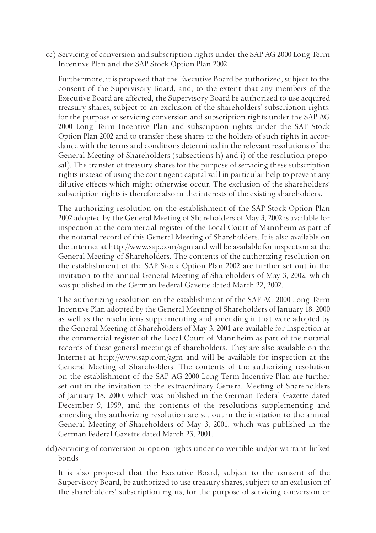cc) Servicing of conversion and subscription rights under the SAP AG 2000 Long Term Incentive Plan and the SAP Stock Option Plan 2002

 Furthermore, it is proposed that the Executive Board be authorized, subject to the consent of the Supervisory Board, and, to the extent that any members of the Executive Board are affected, the Supervisory Board be authorized to use acquired treasury shares, subject to an exclusion of the shareholders' subscription rights, for the purpose of servicing conversion and subscription rights under the SAP AG 2000 Long Term Incentive Plan and subscription rights under the SAP Stock Option Plan 2002 and to transfer these shares to the holders of such rights in accordance with the terms and conditions determined in the relevant resolutions of the General Meeting of Shareholders (subsections h) and i) of the resolution proposal). The transfer of treasury shares for the purpose of servicing these subscription rights instead of using the contingent capital will in particular help to prevent any dilutive effects which might otherwise occur. The exclusion of the shareholders' subscription rights is therefore also in the interests of the existing shareholders.

 The authorizing resolution on the establishment of the SAP Stock Option Plan 2002 adopted by the General Meeting of Shareholders of May 3, 2002 is available for inspection at the commercial register of the Local Court of Mannheim as part of the notarial record of this General Meeting of Shareholders. It is also available on the Internet at http://www.sap.com/agm and will be available for inspection at the General Meeting of Shareholders. The contents of the authorizing resolution on the establishment of the SAP Stock Option Plan 2002 are further set out in the invitation to the annual General Meeting of Shareholders of May 3, 2002, which was published in the German Federal Gazette dated March 22, 2002.

 The authorizing resolution on the establishment of the SAP AG 2000 Long Term Incentive Plan adopted by the General Meeting of Shareholders of January 18, 2000 as well as the resolutions supplementing and amending it that were adopted by the General Meeting of Shareholders of May 3, 2001 are available for inspection at the commercial register of the Local Court of Mannheim as part of the notarial records of these general meetings of shareholders. They are also available on the Internet at http://www.sap.com/agm and will be available for inspection at the General Meeting of Shareholders. The contents of the authorizing resolution on the establishment of the SAP AG 2000 Long Term Incentive Plan are further set out in the invitation to the extraordinary General Meeting of Shareholders of January 18, 2000, which was published in the German Federal Gazette dated December 9, 1999, and the contents of the resolutions supplementing and amending this authorizing resolution are set out in the invitation to the annual General Meeting of Shareholders of May 3, 2001, which was published in the German Federal Gazette dated March 23, 2001.

dd) Servicing of conversion or option rights under convertible and/or warrant-linked bonds

 It is also proposed that the Executive Board, subject to the consent of the Supervisory Board, be authorized to use treasury shares, subject to an exclusion of the shareholders' subscription rights, for the purpose of servicing conversion or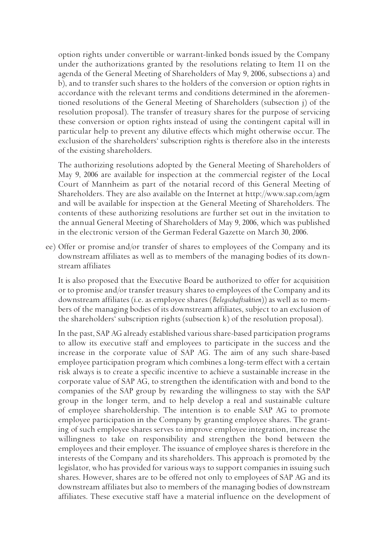option rights under convertible or warrant-linked bonds issued by the Company under the authorizations granted by the resolutions relating to Item 11 on the agenda of the General Meeting of Shareholders of May 9, 2006, subsections a) and b), and to transfer such shares to the holders of the conversion or option rights in accordance with the relevant terms and conditions determined in the aforementioned resolutions of the General Meeting of Shareholders (subsection j) of the resolution proposal). The transfer of treasury shares for the purpose of servicing these conversion or option rights instead of using the contingent capital will in particular help to prevent any dilutive effects which might otherwise occur. The exclusion of the shareholders' subscription rights is therefore also in the interests of the existing shareholders.

 The authorizing resolutions adopted by the General Meeting of Shareholders of May 9, 2006 are available for inspection at the commercial register of the Local Court of Mannheim as part of the notarial record of this General Meeting of Shareholders. They are also available on the Internet at http://www.sap.com/agm and will be available for inspection at the General Meeting of Shareholders. The contents of these authorizing resolutions are further set out in the invitation to the annual General Meeting of Shareholders of May 9, 2006, which was published in the electronic version of the German Federal Gazette on March 30, 2006.

ee) Offer or promise and/or transfer of shares to employees of the Company and its downstream affiliates as well as to members of the managing bodies of its downstream affiliates

 It is also proposed that the Executive Board be authorized to offer for acquisition or to promise and/or transfer treasury shares to employees of the Company and its downstream affiliates (i.e. as employee shares (*Belegschaftsaktien*)) as well as to members of the managing bodies of its downstream affiliates, subject to an exclusion of the shareholders' subscription rights (subsection k) of the resolution proposal).

 In the past, SAP AG already established various share-based participation programs to allow its executive staff and employees to participate in the success and the increase in the corporate value of SAP AG. The aim of any such share-based employee participation program which combines a long-term effect with a certain risk always is to create a specific incentive to achieve a sustainable increase in the corporate value of SAP AG, to strengthen the identification with and bond to the companies of the SAP group by rewarding the willingness to stay with the SAP group in the longer term, and to help develop a real and sustainable culture of employee shareholdership. The intention is to enable SAP AG to promote employee participation in the Company by granting employee shares. The granting of such employee shares serves to improve employee integration, increase the willingness to take on responsibility and strengthen the bond between the employees and their employer. The issuance of employee shares is therefore in the interests of the Company and its shareholders. This approach is promoted by the legislator, who has provided for various ways to support companies in issuing such shares. However, shares are to be offered not only to employees of SAP AG and its downstream affiliates but also to members of the managing bodies of downstream affiliates. These executive staff have a material influence on the development of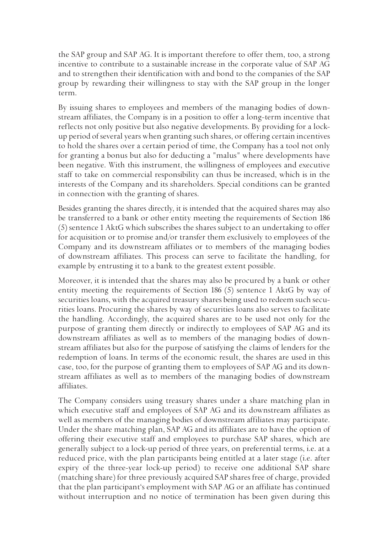the SAP group and SAP AG. It is important therefore to offer them, too, a strong incentive to contribute to a sustainable increase in the corporate value of SAP AG and to strengthen their identification with and bond to the companies of the SAP group by rewarding their willingness to stay with the SAP group in the longer term.

 By issuing shares to employees and members of the managing bodies of downstream affiliates, the Company is in a position to offer a long-term incentive that reflects not only positive but also negative developments. By providing for a lockup period of several years when granting such shares, or offering certain incentives to hold the shares over a certain period of time, the Company has a tool not only for granting a bonus but also for deducting a "malus" where developments have been negative. With this instrument, the willingness of employees and executive staff to take on commercial responsibility can thus be increased, which is in the interests of the Company and its shareholders. Special conditions can be granted in connection with the granting of shares.

 Besides granting the shares directly, it is intended that the acquired shares may also be transferred to a bank or other entity meeting the requirements of Section 186 (5) sentence 1 AktG which subscribes the shares subject to an undertaking to offer for acquisition or to promise and/or transfer them exclusively to employees of the Company and its downstream affiliates or to members of the managing bodies of downstream affiliates. This process can serve to facilitate the handling, for example by entrusting it to a bank to the greatest extent possible.

 Moreover, it is intended that the shares may also be procured by a bank or other entity meeting the requirements of Section 186 (5) sentence 1 AktG by way of securities loans, with the acquired treasury shares being used to redeem such securities loans. Procuring the shares by way of securities loans also serves to facilitate the handling. Accordingly, the acquired shares are to be used not only for the purpose of granting them directly or indirectly to employees of SAP AG and its downstream affiliates as well as to members of the managing bodies of downstream affiliates but also for the purpose of satisfying the claims of lenders for the redemption of loans. In terms of the economic result, the shares are used in this case, too, for the purpose of granting them to employees of SAP AG and its downstream affiliates as well as to members of the managing bodies of downstream affiliates.

 The Company considers using treasury shares under a share matching plan in which executive staff and employees of SAP AG and its downstream affiliates as well as members of the managing bodies of downstream affiliates may participate. Under the share matching plan, SAP AG and its affiliates are to have the option of offering their executive staff and employees to purchase SAP shares, which are generally subject to a lock-up period of three years, on preferential terms, i.e. at a reduced price, with the plan participants being entitled at a later stage (i.e. after expiry of the three-year lock-up period) to receive one additional SAP share (matching share) for three previously acquired SAP shares free of charge, provided that the plan participant's employment with SAP AG or an affiliate has continued without interruption and no notice of termination has been given during this